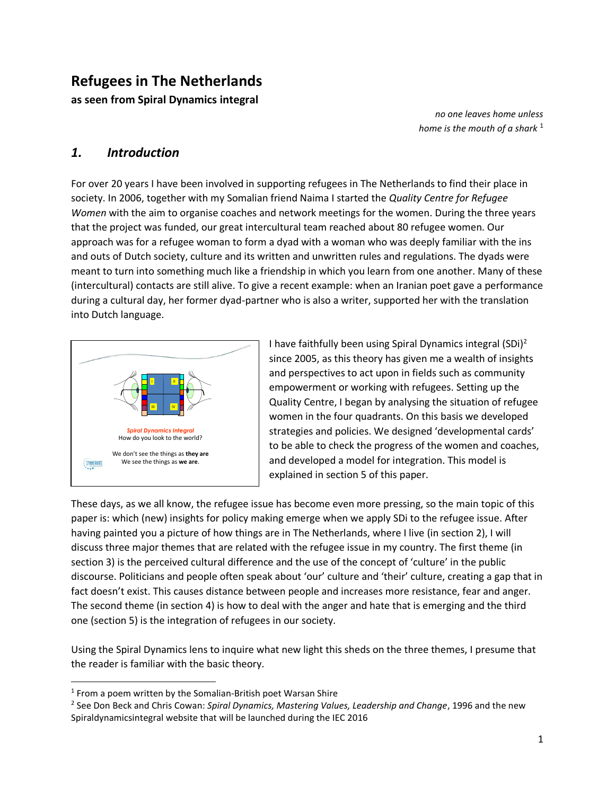# **Refugees in The Netherlands**

**as seen from Spiral Dynamics integral**

*no one leaves home unless home is the mouth of a shark* <sup>1</sup>

## *1. Introduction*

For over 20 years I have been involved in supporting refugees in The Netherlands to find their place in society. In 2006, together with my Somalian friend Naima I started the *Quality Centre for Refugee Women* with the aim to organise coaches and network meetings for the women. During the three years that the project was funded, our great intercultural team reached about 80 refugee women. Our approach was for a refugee woman to form a dyad with a woman who was deeply familiar with the ins and outs of Dutch society, culture and its written and unwritten rules and regulations. The dyads were meant to turn into something much like a friendship in which you learn from one another. Many of these (intercultural) contacts are still alive. To give a recent example: when an Iranian poet gave a performance during a cultural day, her former dyad-partner who is also a writer, supported her with the translation into Dutch language.



I have faithfully been using Spiral Dynamics integral  $(SDi)^2$ since 2005, as this theory has given me a wealth of insights and perspectives to act upon in fields such as community empowerment or working with refugees. Setting up the Quality Centre, I began by analysing the situation of refugee women in the four quadrants. On this basis we developed strategies and policies. We designed 'developmental cards' to be able to check the progress of the women and coaches, and developed a model for integration. This model is explained in section 5 of this paper.

These days, as we all know, the refugee issue has become even more pressing, so the main topic of this paper is: which (new) insights for policy making emerge when we apply SDi to the refugee issue. After having painted you a picture of how things are in The Netherlands, where I live (in section 2), I will discuss three major themes that are related with the refugee issue in my country. The first theme (in section 3) is the perceived cultural difference and the use of the concept of 'culture' in the public discourse. Politicians and people often speak about 'our' culture and 'their' culture, creating a gap that in fact doesn't exist. This causes distance between people and increases more resistance, fear and anger. The second theme (in section 4) is how to deal with the anger and hate that is emerging and the third one (section 5) is the integration of refugees in our society.

Using the Spiral Dynamics lens to inquire what new light this sheds on the three themes, I presume that the reader is familiar with the basic theory.

 $1$  From a poem written by the Somalian-British poet Warsan Shire

<sup>2</sup> See Don Beck and Chris Cowan: *Spiral Dynamics, Mastering Values, Leadership and Change*, 1996 and the new Spiraldynamicsintegral website that will be launched during the IEC 2016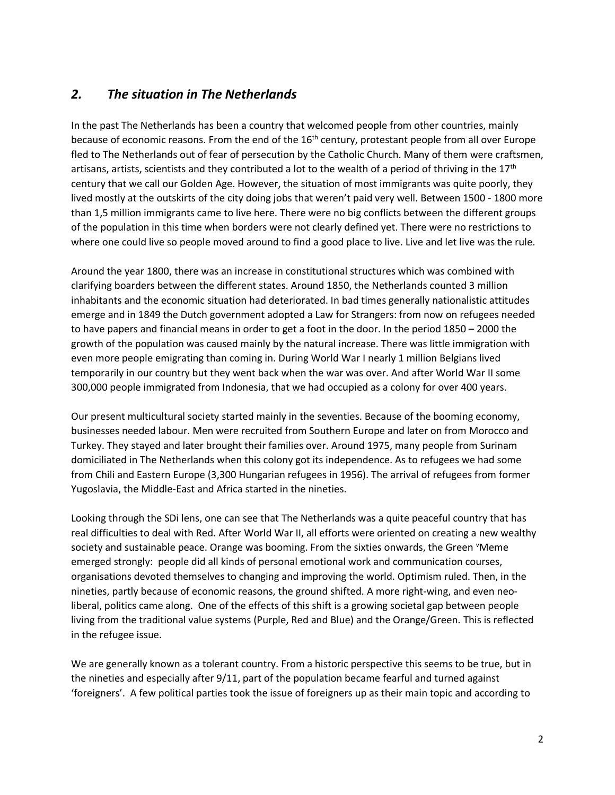#### *2. The situation in The Netherlands*

In the past The Netherlands has been a country that welcomed people from other countries, mainly because of economic reasons. From the end of the 16<sup>th</sup> century, protestant people from all over Europe fled to The Netherlands out of fear of persecution by the Catholic Church. Many of them were craftsmen, artisans, artists, scientists and they contributed a lot to the wealth of a period of thriving in the  $17<sup>th</sup>$ century that we call our Golden Age. However, the situation of most immigrants was quite poorly, they lived mostly at the outskirts of the city doing jobs that weren't paid very well. Between 1500 - 1800 more than 1,5 million immigrants came to live here. There were no big conflicts between the different groups of the population in this time when borders were not clearly defined yet. There were no restrictions to where one could live so people moved around to find a good place to live. Live and let live was the rule.

Around the year 1800, there was an increase in constitutional structures which was combined with clarifying boarders between the different states. Around 1850, the Netherlands counted 3 million inhabitants and the economic situation had deteriorated. In bad times generally nationalistic attitudes emerge and in 1849 the Dutch government adopted a Law for Strangers: from now on refugees needed to have papers and financial means in order to get a foot in the door. In the period 1850 – 2000 the growth of the population was caused mainly by the natural increase. There was little immigration with even more people emigrating than coming in. During World War I nearly 1 million Belgians lived temporarily in our country but they went back when the war was over. And after World War II some 300,000 people immigrated from Indonesia, that we had occupied as a colony for over 400 years.

Our present multicultural society started mainly in the seventies. Because of the booming economy, businesses needed labour. Men were recruited from Southern Europe and later on from Morocco and Turkey. They stayed and later brought their families over. Around 1975, many people from Surinam domiciliated in The Netherlands when this colony got its independence. As to refugees we had some from Chili and Eastern Europe (3,300 Hungarian refugees in 1956). The arrival of refugees from former Yugoslavia, the Middle-East and Africa started in the nineties.

Looking through the SDi lens, one can see that The Netherlands was a quite peaceful country that has real difficulties to deal with Red. After World War II, all efforts were oriented on creating a new wealthy society and sustainable peace. Orange was booming. From the sixties onwards, the Green 'Meme emerged strongly: people did all kinds of personal emotional work and communication courses, organisations devoted themselves to changing and improving the world. Optimism ruled. Then, in the nineties, partly because of economic reasons, the ground shifted. A more right-wing, and even neoliberal, politics came along. One of the effects of this shift is a growing societal gap between people living from the traditional value systems (Purple, Red and Blue) and the Orange/Green. This is reflected in the refugee issue.

We are generally known as a tolerant country. From a historic perspective this seems to be true, but in the nineties and especially after 9/11, part of the population became fearful and turned against 'foreigners'. A few political parties took the issue of foreigners up as their main topic and according to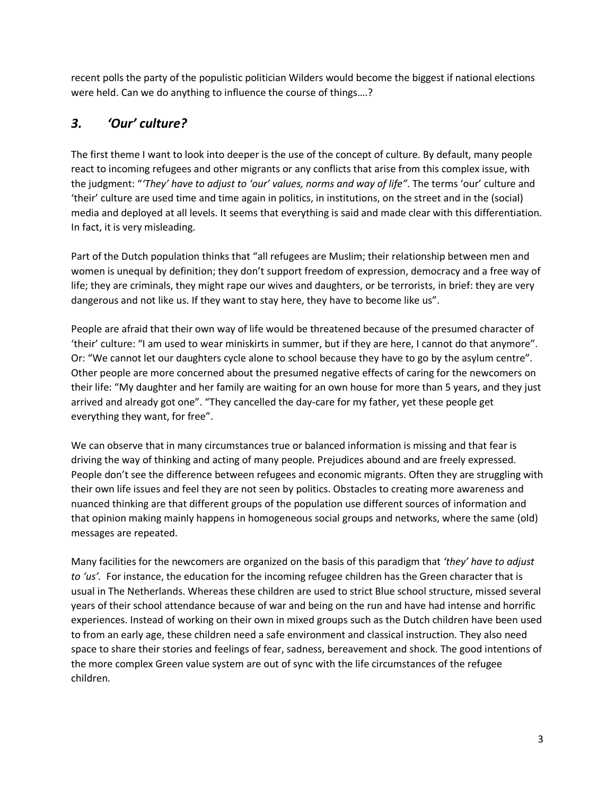recent polls the party of the populistic politician Wilders would become the biggest if national elections were held. Can we do anything to influence the course of things….?

# *3. 'Our' culture?*

The first theme I want to look into deeper is the use of the concept of culture. By default, many people react to incoming refugees and other migrants or any conflicts that arise from this complex issue, with the judgment: "*'They' have to adjust to 'our' values, norms and way of life"*. The terms 'our' culture and 'their' culture are used time and time again in politics, in institutions, on the street and in the (social) media and deployed at all levels. It seems that everything is said and made clear with this differentiation. In fact, it is very misleading.

Part of the Dutch population thinks that "all refugees are Muslim; their relationship between men and women is unequal by definition; they don't support freedom of expression, democracy and a free way of life; they are criminals, they might rape our wives and daughters, or be terrorists, in brief: they are very dangerous and not like us. If they want to stay here, they have to become like us".

People are afraid that their own way of life would be threatened because of the presumed character of 'their' culture: "I am used to wear miniskirts in summer, but if they are here, I cannot do that anymore". Or: "We cannot let our daughters cycle alone to school because they have to go by the asylum centre". Other people are more concerned about the presumed negative effects of caring for the newcomers on their life: "My daughter and her family are waiting for an own house for more than 5 years, and they just arrived and already got one". "They cancelled the day-care for my father, yet these people get everything they want, for free".

We can observe that in many circumstances true or balanced information is missing and that fear is driving the way of thinking and acting of many people. Prejudices abound and are freely expressed. People don't see the difference between refugees and economic migrants. Often they are struggling with their own life issues and feel they are not seen by politics. Obstacles to creating more awareness and nuanced thinking are that different groups of the population use different sources of information and that opinion making mainly happens in homogeneous social groups and networks, where the same (old) messages are repeated.

Many facilities for the newcomers are organized on the basis of this paradigm that *'they' have to adjust to 'us'.* For instance, the education for the incoming refugee children has the Green character that is usual in The Netherlands. Whereas these children are used to strict Blue school structure, missed several years of their school attendance because of war and being on the run and have had intense and horrific experiences. Instead of working on their own in mixed groups such as the Dutch children have been used to from an early age, these children need a safe environment and classical instruction. They also need space to share their stories and feelings of fear, sadness, bereavement and shock. The good intentions of the more complex Green value system are out of sync with the life circumstances of the refugee children.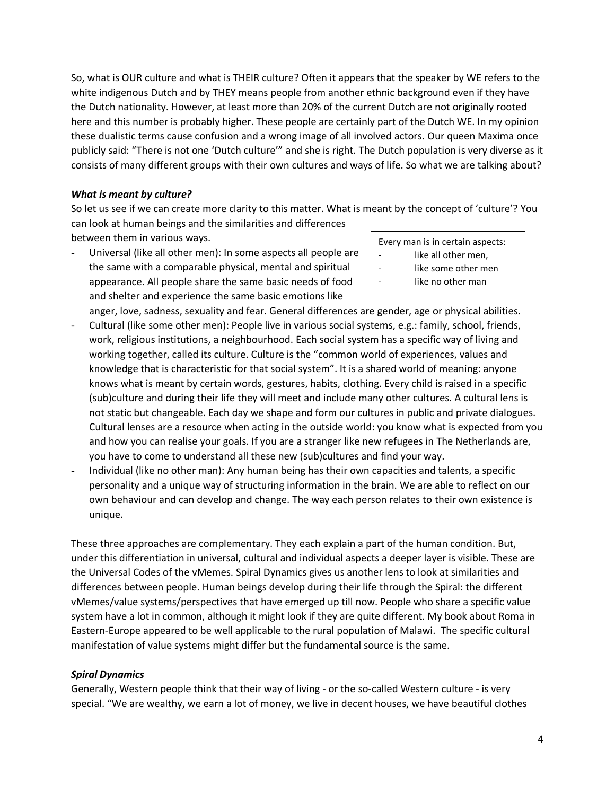So, what is OUR culture and what is THEIR culture? Often it appears that the speaker by WE refers to the white indigenous Dutch and by THEY means people from another ethnic background even if they have the Dutch nationality. However, at least more than 20% of the current Dutch are not originally rooted here and this number is probably higher. These people are certainly part of the Dutch WE. In my opinion these dualistic terms cause confusion and a wrong image of all involved actors. Our queen Maxima once publicly said: "There is not one 'Dutch culture'" and she is right. The Dutch population is very diverse as it consists of many different groups with their own cultures and ways of life. So what we are talking about?

#### *What is meant by culture?*

So let us see if we can create more clarity to this matter. What is meant by the concept of 'culture'? You can look at human beings and the similarities and differences

between them in various ways.

- Universal (like all other men): In some aspects all people are the same with a comparable physical, mental and spiritual appearance. All people share the same basic needs of food and shelter and experience the same basic emotions like
- Every man is in certain aspects:
- like all other men,
- like some other men
- like no other man

anger, love, sadness, sexuality and fear. General differences are gender, age or physical abilities. Cultural (like some other men): People live in various social systems, e.g.: family, school, friends, work, religious institutions, a neighbourhood. Each social system has a specific way of living and working together, called its culture. Culture is the "common world of experiences, values and knowledge that is characteristic for that social system". It is a shared world of meaning: anyone knows what is meant by certain words, gestures, habits, clothing. Every child is raised in a specific (sub)culture and during their life they will meet and include many other cultures. A cultural lens is not static but changeable. Each day we shape and form our cultures in public and private dialogues. Cultural lenses are a resource when acting in the outside world: you know what is expected from you and how you can realise your goals. If you are a stranger like new refugees in The Netherlands are, you have to come to understand all these new (sub)cultures and find your way.

- Individual (like no other man): Any human being has their own capacities and talents, a specific personality and a unique way of structuring information in the brain. We are able to reflect on our own behaviour and can develop and change. The way each person relates to their own existence is unique.

These three approaches are complementary. They each explain a part of the human condition. But, under this differentiation in universal, cultural and individual aspects a deeper layer is visible. These are the Universal Codes of the vMemes. Spiral Dynamics gives us another lens to look at similarities and differences between people. Human beings develop during their life through the Spiral: the different vMemes/value systems/perspectives that have emerged up till now. People who share a specific value system have a lot in common, although it might look if they are quite different. My book about Roma in Eastern-Europe appeared to be well applicable to the rural population of Malawi. The specific cultural manifestation of value systems might differ but the fundamental source is the same.

#### *Spiral Dynamics*

Generally, Western people think that their way of living - or the so-called Western culture - is very special. "We are wealthy, we earn a lot of money, we live in decent houses, we have beautiful clothes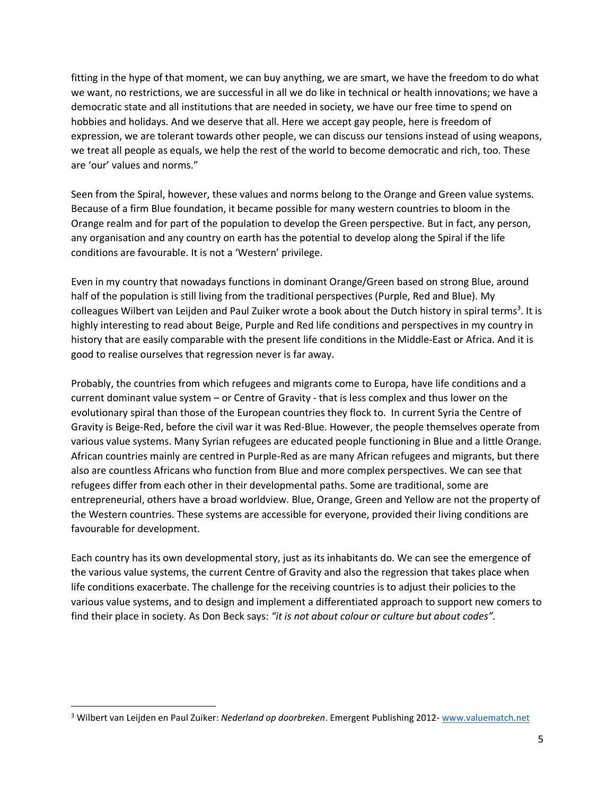fitting in the hype of that moment, we can buy anything, we are smart, we have the freedom to do what we want, no restrictions, we are successful in all we do like in technical or health innovations; we have a democratic state and all institutions that are needed in society, we have our free time to spend on hobbies and holidays. And we deserve that all. Here we accept gay people, here is freedom of expression, we are tolerant towards other people, we can discuss our tensions instead of using weapons, we treat all people as equals, we help the rest of the world to become democratic and rich, too. These are 'our' values and norms."

Seen from the Spiral, however, these values and norms belong to the Orange and Green value systems. Because of a firm Blue foundation, it became possible for many western countries to bloom in the Orange realm and for part of the population to develop the Green perspective. But in fact, any person, any organisation and any country on earth has the potential to develop along the Spiral if the life conditions are favourable. It is not a 'Western' privilege.

Even in my country that nowadays functions in dominant Orange/Green based on strong Blue, around half of the population is still living from the traditional perspectives (Purple, Red and Blue). My colleagues Wilbert van Leijden and Paul Zuiker wrote a book about the Dutch history in spiral terms<sup>3</sup>. It is highly interesting to read about Beige, Purple and Red life conditions and perspectives in my country in history that are easily comparable with the present life conditions in the Middle-East or Africa. And it is good to realise ourselves that regression never is far away.

Probably, the countries from which refugees and migrants come to Europa, have life conditions and a current dominant value system – or Centre of Gravity - that is less complex and thus lower on the evolutionary spiral than those of the European countries they flock to. In current Syria the Centre of Gravity is Beige-Red, before the civil war it was Red-Blue. However, the people themselves operate from various value systems. Many Syrian refugees are educated people functioning in Blue and a little Orange. African countries mainly are centred in Purple-Red as are many African refugees and migrants, but there also are countless Africans who function from Blue and more complex perspectives. We can see that refugees differ from each other in their developmental paths. Some are traditional, some are entrepreneurial, others have a broad worldview. Blue, Orange, Green and Yellow are not the property of the Western countries. These systems are accessible for everyone, provided their living conditions are favourable for development.

Each country has its own developmental story, just as its inhabitants do. We can see the emergence of the various value systems, the current Centre of Gravity and also the regression that takes place when life conditions exacerbate. The challenge for the receiving countries is to adjust their policies to the various value systems, and to design and implement a differentiated approach to support new comers to find their place in society. As Don Beck says: *"it is not about colour or culture but about codes".*

 <sup>3</sup> Wilbert van Leijden en Paul Zuiker: *Nederland op doorbreken*. Emergent Publishing 2012- [www.valuematch.net](http://www.valuematch.net/)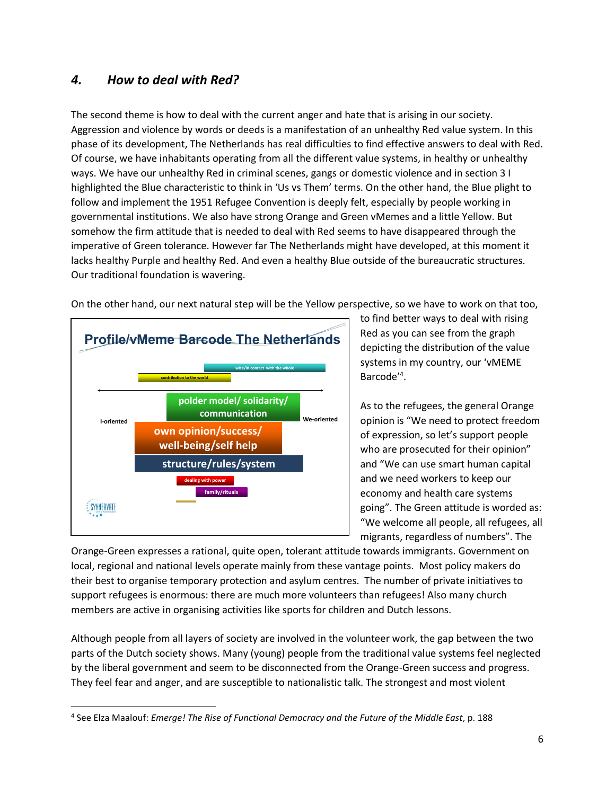## *4. How to deal with Red?*

The second theme is how to deal with the current anger and hate that is arising in our society. Aggression and violence by words or deeds is a manifestation of an unhealthy Red value system. In this phase of its development, The Netherlands has real difficulties to find effective answers to deal with Red. Of course, we have inhabitants operating from all the different value systems, in healthy or unhealthy ways. We have our unhealthy Red in criminal scenes, gangs or domestic violence and in section 3 I highlighted the Blue characteristic to think in 'Us vs Them' terms. On the other hand, the Blue plight to follow and implement the 1951 Refugee Convention is deeply felt, especially by people working in governmental institutions. We also have strong Orange and Green vMemes and a little Yellow. But somehow the firm attitude that is needed to deal with Red seems to have disappeared through the imperative of Green tolerance. However far The Netherlands might have developed, at this moment it lacks healthy Purple and healthy Red. And even a healthy Blue outside of the bureaucratic structures. Our traditional foundation is wavering.



On the other hand, our next natural step will be the Yellow perspective, so we have to work on that too,

to find better ways to deal with rising Red as you can see from the graph depicting the distribution of the value systems in my country, our 'vMEME Barcode'<sup>4</sup> .

As to the refugees, the general Orange opinion is "We need to protect freedom of expression, so let's support people who are prosecuted for their opinion" and "We can use smart human capital and we need workers to keep our economy and health care systems going". The Green attitude is worded as: "We welcome all people, all refugees, all migrants, regardless of numbers". The

Orange-Green expresses a rational, quite open, tolerant attitude towards immigrants. Government on local, regional and national levels operate mainly from these vantage points. Most policy makers do their best to organise temporary protection and asylum centres. The number of private initiatives to support refugees is enormous: there are much more volunteers than refugees! Also many church members are active in organising activities like sports for children and Dutch lessons.

Although people from all layers of society are involved in the volunteer work, the gap between the two parts of the Dutch society shows. Many (young) people from the traditional value systems feel neglected by the liberal government and seem to be disconnected from the Orange-Green success and progress. They feel fear and anger, and are susceptible to nationalistic talk. The strongest and most violent

 <sup>4</sup> See Elza Maalouf: *Emerge! The Rise of Functional Democracy and the Future of the Middle East*, p. 188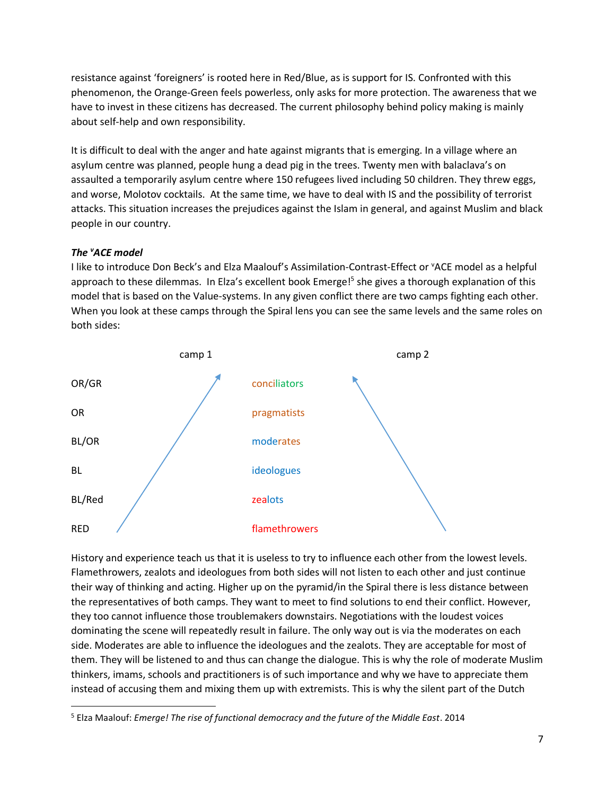resistance against 'foreigners' is rooted here in Red/Blue, as is support for IS. Confronted with this phenomenon, the Orange-Green feels powerless, only asks for more protection. The awareness that we have to invest in these citizens has decreased. The current philosophy behind policy making is mainly about self-help and own responsibility.

It is difficult to deal with the anger and hate against migrants that is emerging. In a village where an asylum centre was planned, people hung a dead pig in the trees. Twenty men with balaclava's on assaulted a temporarily asylum centre where 150 refugees lived including 50 children. They threw eggs, and worse, Molotov cocktails. At the same time, we have to deal with IS and the possibility of terrorist attacks. This situation increases the prejudices against the Islam in general, and against Muslim and black people in our country.

#### **The 'ACE model**

I like to introduce Don Beck's and Elza Maalouf's Assimilation-Contrast-Effect or "ACE model as a helpful approach to these dilemmas. In Elza's excellent book Emerge!<sup>5</sup> she gives a thorough explanation of this model that is based on the Value-systems. In any given conflict there are two camps fighting each other. When you look at these camps through the Spiral lens you can see the same levels and the same roles on both sides:



History and experience teach us that it is useless to try to influence each other from the lowest levels. Flamethrowers, zealots and ideologues from both sides will not listen to each other and just continue their way of thinking and acting. Higher up on the pyramid/in the Spiral there is less distance between the representatives of both camps. They want to meet to find solutions to end their conflict. However, they too cannot influence those troublemakers downstairs. Negotiations with the loudest voices dominating the scene will repeatedly result in failure. The only way out is via the moderates on each side. Moderates are able to influence the ideologues and the zealots. They are acceptable for most of them. They will be listened to and thus can change the dialogue. This is why the role of moderate Muslim thinkers, imams, schools and practitioners is of such importance and why we have to appreciate them instead of accusing them and mixing them up with extremists. This is why the silent part of the Dutch

 <sup>5</sup> Elza Maalouf: *Emerge! The rise of functional democracy and the future of the Middle East*. 2014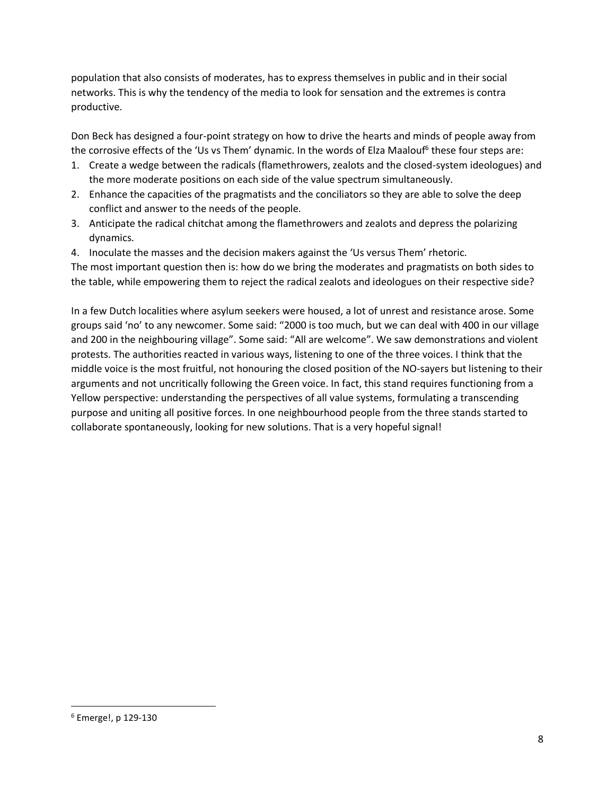population that also consists of moderates, has to express themselves in public and in their social networks. This is why the tendency of the media to look for sensation and the extremes is contra productive.

Don Beck has designed a four-point strategy on how to drive the hearts and minds of people away from the corrosive effects of the 'Us vs Them' dynamic. In the words of Elza Maalouf<sup>6</sup> these four steps are:

- 1. Create a wedge between the radicals (flamethrowers, zealots and the closed-system ideologues) and the more moderate positions on each side of the value spectrum simultaneously.
- 2. Enhance the capacities of the pragmatists and the conciliators so they are able to solve the deep conflict and answer to the needs of the people.
- 3. Anticipate the radical chitchat among the flamethrowers and zealots and depress the polarizing dynamics.
- 4. Inoculate the masses and the decision makers against the 'Us versus Them' rhetoric.

The most important question then is: how do we bring the moderates and pragmatists on both sides to the table, while empowering them to reject the radical zealots and ideologues on their respective side?

In a few Dutch localities where asylum seekers were housed, a lot of unrest and resistance arose. Some groups said 'no' to any newcomer. Some said: "2000 is too much, but we can deal with 400 in our village and 200 in the neighbouring village". Some said: "All are welcome". We saw demonstrations and violent protests. The authorities reacted in various ways, listening to one of the three voices. I think that the middle voice is the most fruitful, not honouring the closed position of the NO-sayers but listening to their arguments and not uncritically following the Green voice. In fact, this stand requires functioning from a Yellow perspective: understanding the perspectives of all value systems, formulating a transcending purpose and uniting all positive forces. In one neighbourhood people from the three stands started to collaborate spontaneously, looking for new solutions. That is a very hopeful signal!

 <sup>6</sup> Emerge!, p 129-130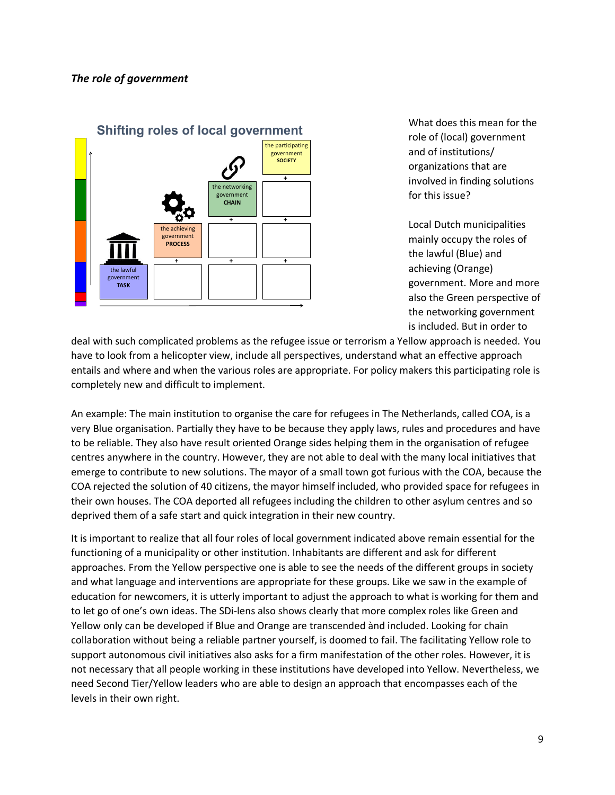

What does this mean for the role of (local) government and of institutions/ organizations that are involved in finding solutions for this issue?

Local Dutch municipalities mainly occupy the roles of the lawful (Blue) and achieving (Orange) government. More and more also the Green perspective of the networking government is included. But in order to

deal with such complicated problems as the refugee issue or terrorism a Yellow approach is needed. You have to look from a helicopter view, include all perspectives, understand what an effective approach entails and where and when the various roles are appropriate. For policy makers this participating role is completely new and difficult to implement.

An example: The main institution to organise the care for refugees in The Netherlands, called COA, is a very Blue organisation. Partially they have to be because they apply laws, rules and procedures and have to be reliable. They also have result oriented Orange sides helping them in the organisation of refugee centres anywhere in the country. However, they are not able to deal with the many local initiatives that emerge to contribute to new solutions. The mayor of a small town got furious with the COA, because the COA rejected the solution of 40 citizens, the mayor himself included, who provided space for refugees in their own houses. The COA deported all refugees including the children to other asylum centres and so deprived them of a safe start and quick integration in their new country.

It is important to realize that all four roles of local government indicated above remain essential for the functioning of a municipality or other institution. Inhabitants are different and ask for different approaches. From the Yellow perspective one is able to see the needs of the different groups in society and what language and interventions are appropriate for these groups. Like we saw in the example of education for newcomers, it is utterly important to adjust the approach to what is working for them and to let go of one's own ideas. The SDi-lens also shows clearly that more complex roles like Green and Yellow only can be developed if Blue and Orange are transcended ànd included. Looking for chain collaboration without being a reliable partner yourself, is doomed to fail. The facilitating Yellow role to support autonomous civil initiatives also asks for a firm manifestation of the other roles. However, it is not necessary that all people working in these institutions have developed into Yellow. Nevertheless, we need Second Tier/Yellow leaders who are able to design an approach that encompasses each of the levels in their own right.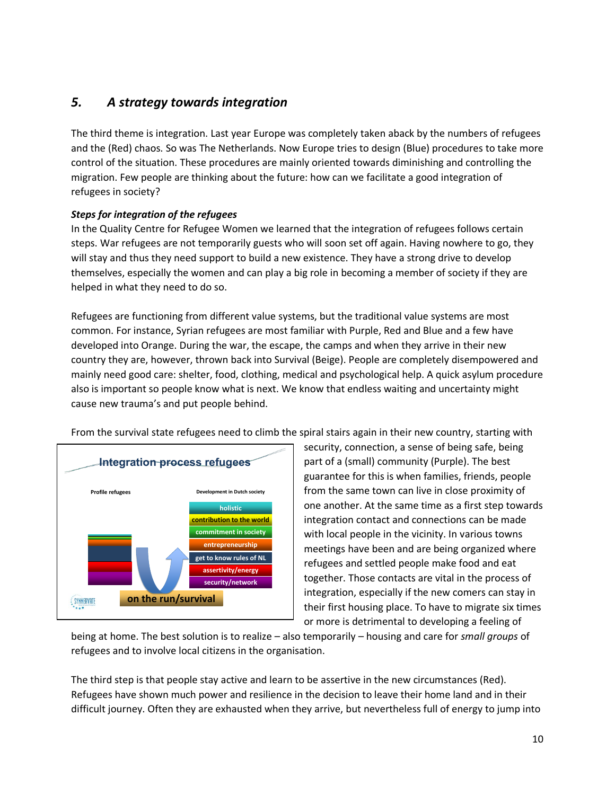## *5. A strategy towards integration*

The third theme is integration. Last year Europe was completely taken aback by the numbers of refugees and the (Red) chaos. So was The Netherlands. Now Europe tries to design (Blue) procedures to take more control of the situation. These procedures are mainly oriented towards diminishing and controlling the migration. Few people are thinking about the future: how can we facilitate a good integration of refugees in society?

#### *Steps for integration of the refugees*

In the Quality Centre for Refugee Women we learned that the integration of refugees follows certain steps. War refugees are not temporarily guests who will soon set off again. Having nowhere to go, they will stay and thus they need support to build a new existence. They have a strong drive to develop themselves, especially the women and can play a big role in becoming a member of society if they are helped in what they need to do so.

Refugees are functioning from different value systems, but the traditional value systems are most common. For instance, Syrian refugees are most familiar with Purple, Red and Blue and a few have developed into Orange. During the war, the escape, the camps and when they arrive in their new country they are, however, thrown back into Survival (Beige). People are completely disempowered and mainly need good care: shelter, food, clothing, medical and psychological help. A quick asylum procedure also is important so people know what is next. We know that endless waiting and uncertainty might cause new trauma's and put people behind.

From the survival state refugees need to climb the spiral stairs again in their new country, starting with



security, connection, a sense of being safe, being part of a (small) community (Purple). The best guarantee for this is when families, friends, people from the same town can live in close proximity of one another. At the same time as a first step towards integration contact and connections can be made with local people in the vicinity. In various towns meetings have been and are being organized where refugees and settled people make food and eat together. Those contacts are vital in the process of integration, especially if the new comers can stay in their first housing place. To have to migrate six times or more is detrimental to developing a feeling of

being at home. The best solution is to realize – also temporarily – housing and care for *small groups* of refugees and to involve local citizens in the organisation.

The third step is that people stay active and learn to be assertive in the new circumstances (Red). Refugees have shown much power and resilience in the decision to leave their home land and in their difficult journey. Often they are exhausted when they arrive, but nevertheless full of energy to jump into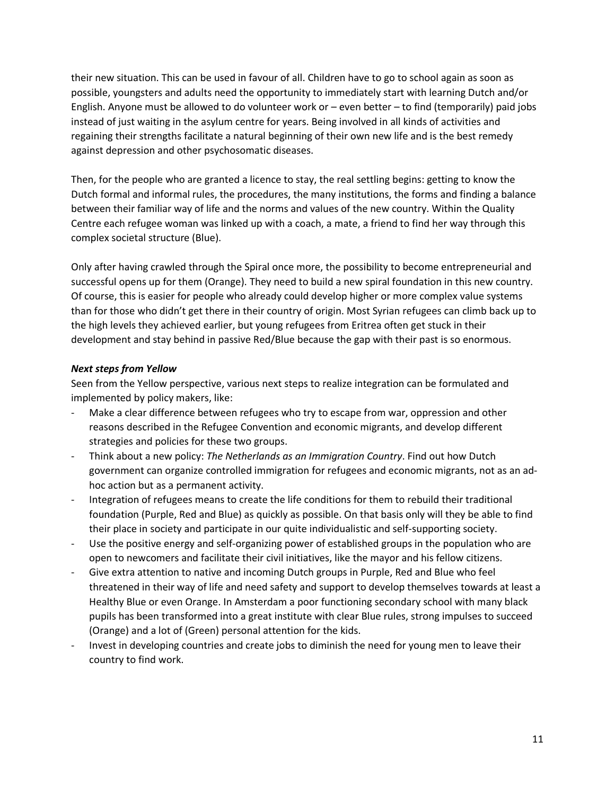their new situation. This can be used in favour of all. Children have to go to school again as soon as possible, youngsters and adults need the opportunity to immediately start with learning Dutch and/or English. Anyone must be allowed to do volunteer work or – even better – to find (temporarily) paid jobs instead of just waiting in the asylum centre for years. Being involved in all kinds of activities and regaining their strengths facilitate a natural beginning of their own new life and is the best remedy against depression and other psychosomatic diseases.

Then, for the people who are granted a licence to stay, the real settling begins: getting to know the Dutch formal and informal rules, the procedures, the many institutions, the forms and finding a balance between their familiar way of life and the norms and values of the new country. Within the Quality Centre each refugee woman was linked up with a coach, a mate, a friend to find her way through this complex societal structure (Blue).

Only after having crawled through the Spiral once more, the possibility to become entrepreneurial and successful opens up for them (Orange). They need to build a new spiral foundation in this new country. Of course, this is easier for people who already could develop higher or more complex value systems than for those who didn't get there in their country of origin. Most Syrian refugees can climb back up to the high levels they achieved earlier, but young refugees from Eritrea often get stuck in their development and stay behind in passive Red/Blue because the gap with their past is so enormous.

#### *Next steps from Yellow*

Seen from the Yellow perspective, various next steps to realize integration can be formulated and implemented by policy makers, like:

- Make a clear difference between refugees who try to escape from war, oppression and other reasons described in the Refugee Convention and economic migrants, and develop different strategies and policies for these two groups.
- Think about a new policy: *The Netherlands as an Immigration Country*. Find out how Dutch government can organize controlled immigration for refugees and economic migrants, not as an adhoc action but as a permanent activity.
- Integration of refugees means to create the life conditions for them to rebuild their traditional foundation (Purple, Red and Blue) as quickly as possible. On that basis only will they be able to find their place in society and participate in our quite individualistic and self-supporting society.
- Use the positive energy and self-organizing power of established groups in the population who are open to newcomers and facilitate their civil initiatives, like the mayor and his fellow citizens.
- Give extra attention to native and incoming Dutch groups in Purple, Red and Blue who feel threatened in their way of life and need safety and support to develop themselves towards at least a Healthy Blue or even Orange. In Amsterdam a poor functioning secondary school with many black pupils has been transformed into a great institute with clear Blue rules, strong impulses to succeed (Orange) and a lot of (Green) personal attention for the kids.
- Invest in developing countries and create jobs to diminish the need for young men to leave their country to find work.